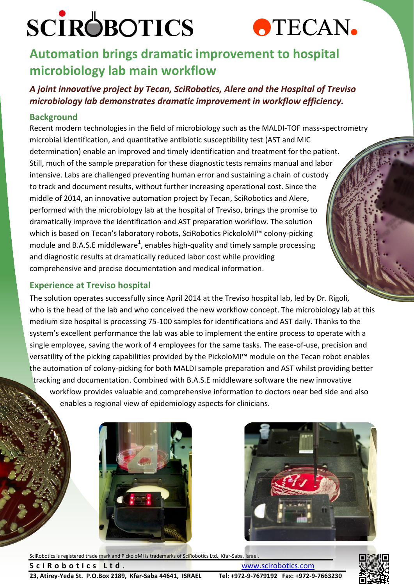# **SCIROBOTICS**



### **Automation brings dramatic improvement to hospital microbiology lab main workflow**

### *A joint innovative project by Tecan, SciRobotics, Alere and the Hospital of Treviso microbiology lab demonstrates dramatic improvement in workflow efficiency.*

### **Background**

Recent modern technologies in the field of microbiology such as the MALDI-TOF mass-spectrometry microbial identification, and quantitative antibiotic susceptibility test (AST and MIC determination) enable an improved and timely identification and treatment for the patient. Still, much of the sample preparation for these diagnostic tests remains manual and labor intensive. Labs are challenged preventing human error and sustaining a chain of custody to track and document results, without further increasing operational cost. Since the middle of 2014, an innovative automation project by Tecan, SciRobotics and Alere, performed with the microbiology lab at the hospital of Treviso, brings the promise to dramatically improve the identification and AST preparation workflow. The solution which is based on Tecan's laboratory robots, SciRobotics PickoloMI™ colony-picking module and B.A.S.E middleware<sup>1</sup>, enables high-quality and timely sample processing and diagnostic results at dramatically reduced labor cost while providing comprehensive and precise documentation and medical information.

### **Experience at Treviso hospital**

The solution operates successfully since April 2014 at the Treviso hospital lab, led by Dr. Rigoli, who is the head of the lab and who conceived the new workflow concept. The microbiology lab at this medium size hospital is processing 75-100 samples for identifications and AST daily. Thanks to the system's excellent performance the lab was able to implement the entire process to operate with a single employee, saving the work of 4 employees for the same tasks. The ease-of-use, precision and versatility of the picking capabilities provided by the PickoloMI™ module on the Tecan robot enables the automation of colony-picking for both MALDI sample preparation and AST whilst providing better tracking and documentation. Combined with B.A.S.E middleware software the new innovative workflow provides valuable and comprehensive information to doctors near bed side and also enables a regional view of epidemiology aspects for clinicians.





SciRobotics is registered trade mark and PickoloMI is trademarks of SciRobotics Ltd., Kfar-Saba, Israel.



**23, Atirey-Yeda St. P.O.Box 2189, Kfar-Saba 44641, ISRAEL Tel: +972-9-7679192 Fax: +972-9-7663230** 

**Sci R o b o tics L t d** . Www.scirobotics.com